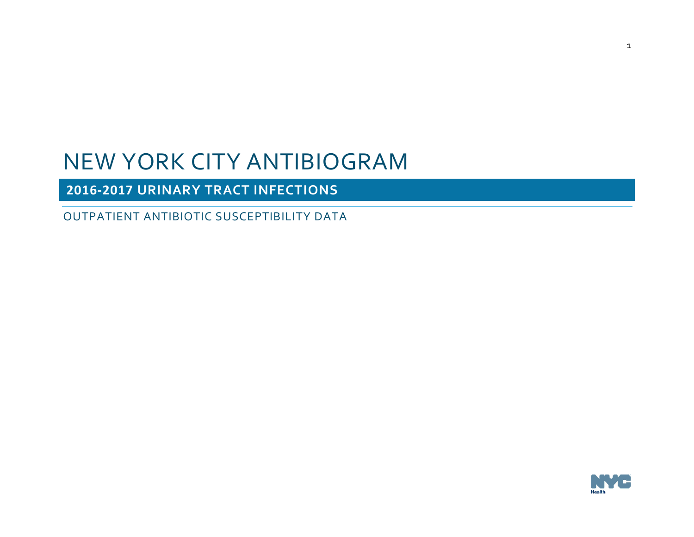**2016-2017 URINARY TRACT INFECTIONS**

OUTPATIENT ANTIBIOTIC SUSCEPTIBILITY DATA

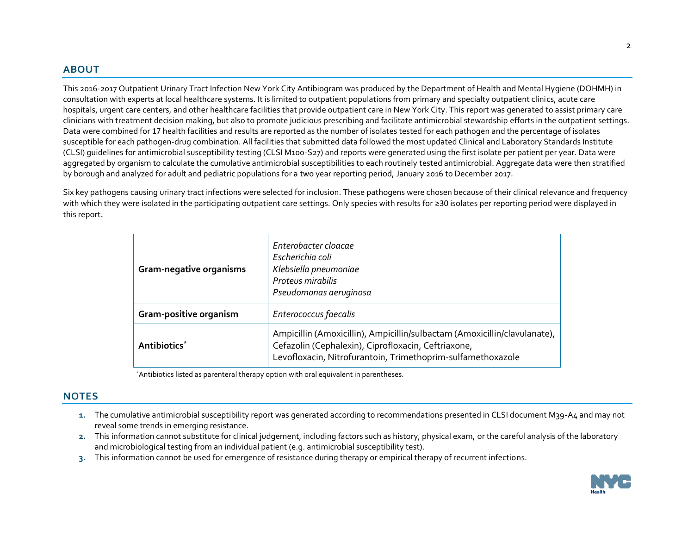#### **ABOUT**

This 2016-2017 Outpatient Urinary Tract Infection New York City Antibiogram was produced by the Department of Health and Mental Hygiene (DOHMH) in consultation with experts at local healthcare systems. It is limited to outpatient populations from primary and specialty outpatient clinics, acute care hospitals, urgent care centers, and other healthcare facilities that provide outpatient care in New York City. This report was generated to assist primary care clinicians with treatment decision making, but also to promote judicious prescribing and facilitate antimicrobial stewardship efforts in the outpatient settings. Data were combined for 17 health facilities and results are reported as the number of isolates tested for each pathogen and the percentage of isolates susceptible for each pathogen-drug combination. All facilities that submitted data followed the most updated Clinical and Laboratory Standards Institute (CLSI) guidelines for antimicrobial susceptibility testing (CLSI M100-S27) and reports were generated using the first isolate per patient per year. Data were aggregated by organism to calculate the cumulative antimicrobial susceptibilities to each routinely tested antimicrobial. Aggregate data were then stratified by borough and analyzed for adult and pediatric populations for a two year reporting period, January 2016 to December 2017.

Six key pathogens causing urinary tract infections were selected for inclusion. These pathogens were chosen because of their clinical relevance and frequency with which they were isolated in the participating outpatient care settings. Only species with results for ≥30 isolates per reporting period were displayed in this report.

| Gram-negative organisms  | Enterobacter cloacae<br>Escherichia coli<br>Klebsiella pneumoniae<br>Proteus mirabilis<br>Pseudomonas aeruginosa                                                                                |
|--------------------------|-------------------------------------------------------------------------------------------------------------------------------------------------------------------------------------------------|
| Gram-positive organism   | Enterococcus faecalis                                                                                                                                                                           |
| Antibiotics <sup>*</sup> | Ampicillin (Amoxicillin), Ampicillin/sulbactam (Amoxicillin/clavulanate),<br>Cefazolin (Cephalexin), Ciprofloxacin, Ceftriaxone,<br>Levofloxacin, Nitrofurantoin, Trimethoprim-sulfamethoxazole |

\*Antibiotics listed as parenteral therapy option with oral equivalent in parentheses.

#### **NOTES**

- **1.** The cumulative antimicrobial susceptibility report was generated according to recommendations presented in CLSI document M39-A4 and may not reveal some trends in emerging resistance.
- **2.** This information cannot substitute for clinical judgement, including factors such as history, physical exam, or the careful analysis of the laboratory and microbiological testing from an individual patient (e.g. antimicrobial susceptibility test).
- **3.** This information cannot be used for emergence of resistance during therapy or empirical therapy of recurrent infections.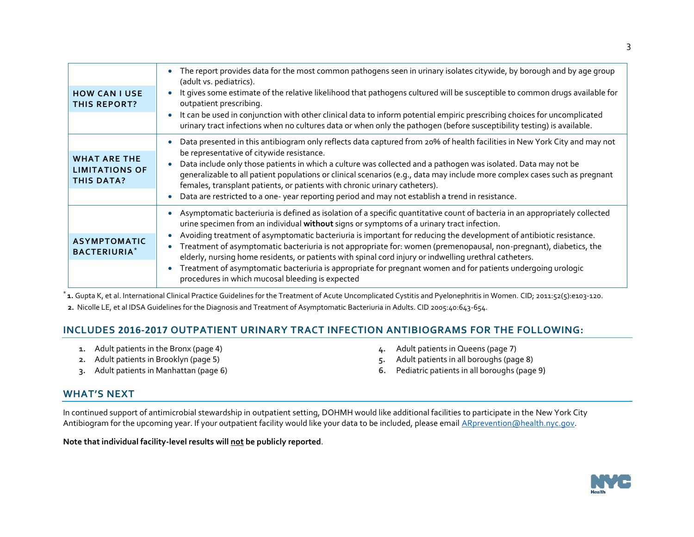| <b>HOW CAN I USE</b><br><b>THIS REPORT?</b>                       | The report provides data for the most common pathogens seen in urinary isolates citywide, by borough and by age group<br>(adult vs. pediatrics).<br>It gives some estimate of the relative likelihood that pathogens cultured will be susceptible to common drugs available for<br>outpatient prescribing.<br>It can be used in conjunction with other clinical data to inform potential empiric prescribing choices for uncomplicated<br>urinary tract infections when no cultures data or when only the pathogen (before susceptibility testing) is available.                                                                                                                                                                                  |
|-------------------------------------------------------------------|---------------------------------------------------------------------------------------------------------------------------------------------------------------------------------------------------------------------------------------------------------------------------------------------------------------------------------------------------------------------------------------------------------------------------------------------------------------------------------------------------------------------------------------------------------------------------------------------------------------------------------------------------------------------------------------------------------------------------------------------------|
| <b>WHAT ARE THE</b><br><b>LIMITATIONS OF</b><br><b>THIS DATA?</b> | Data presented in this antibiogram only reflects data captured from 20% of health facilities in New York City and may not<br>be representative of citywide resistance.<br>Data include only those patients in which a culture was collected and a pathogen was isolated. Data may not be<br>generalizable to all patient populations or clinical scenarios (e.g., data may include more complex cases such as pregnant<br>females, transplant patients, or patients with chronic urinary catheters).<br>Data are restricted to a one-year reporting period and may not establish a trend in resistance.                                                                                                                                           |
| <b>ASYMPTOMATIC</b><br><b>BACTERIURIA*</b>                        | Asymptomatic bacteriuria is defined as isolation of a specific quantitative count of bacteria in an appropriately collected<br>urine specimen from an individual without signs or symptoms of a urinary tract infection.<br>Avoiding treatment of asymptomatic bacteriuria is important for reducing the development of antibiotic resistance.<br>Treatment of asymptomatic bacteriuria is not appropriate for: women (premenopausal, non-pregnant), diabetics, the<br>elderly, nursing home residents, or patients with spinal cord injury or indwelling urethral catheters.<br>Treatment of asymptomatic bacteriuria is appropriate for pregnant women and for patients undergoing urologic<br>procedures in which mucosal bleeding is expected |

\* **1.** Gupta K, et al. International Clinical Practice Guidelines for the Treatment of Acute Uncomplicated Cystitis and Pyelonephritis in Women. CID; 2011:52(5):e103-120.

# **2.** Nicolle LE, et al IDSA Guidelines for the Diagnosis and Treatment of Asymptomatic Bacteriuria in Adults. CID 2005:40:643-654.

#### **INCLUDES 2016-2017 OUTPATIENT URINARY TRACT INFECTION ANTIBIOGRAMS FOR THE FOLLOWING:**

- **1.** Adult patients in the Bronx (page 4)
- **2.** Adult patients in Brooklyn (page 5)
- **3.** Adult patients in Manhattan (page 6)
- **4.** Adult patients in Queens (page 7)
- **5.** Adult patients in all boroughs (page 8)
- **6.** Pediatric patients in all boroughs (page 9)

#### **WHAT'S NEXT**

In continued support of antimicrobial stewardship in outpatient setting, DOHMH would like additional facilities to participate in the New York City Antibiogram for the upcoming year. If your outpatient facility would like your data to be included, please email **ARprevention@health.nyc.gov.** 

**Note that individual facility-level results will not be publicly reported**.

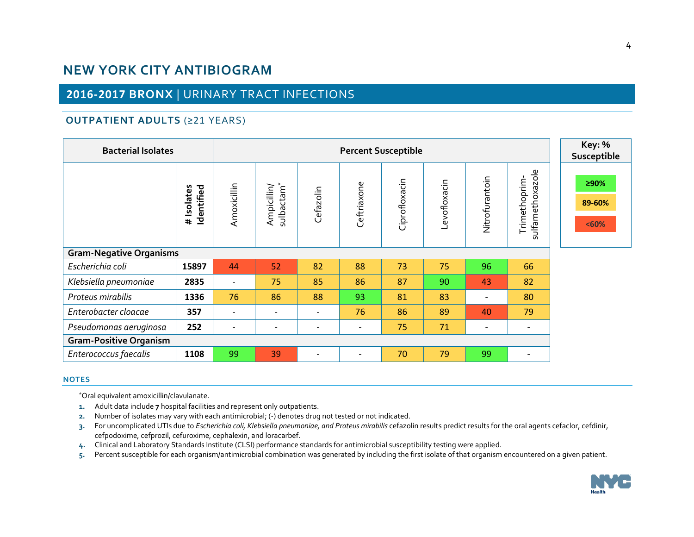# **2016-2017 BRONX** | URINARY TRACT INFECTIONS

## **OUTPATIENT ADULTS** (≥21 YEARS)

| <b>Bacterial Isolates</b>      |                          | <b>Key: %</b><br>Susceptible |                          |                          |                          |               |              |                          |                                  |                         |  |  |
|--------------------------------|--------------------------|------------------------------|--------------------------|--------------------------|--------------------------|---------------|--------------|--------------------------|----------------------------------|-------------------------|--|--|
|                                | # Isolates<br>Identified | Amoxicillin                  | Ampicillin/<br>sulbactam | Cefazolin                | Ceftriaxone              | Ciprofloxacin | Levofloxacin | Nitrofurantoin           | sulfamethoxazole<br>Trimethoprim | ≥90%<br>89-60%<br>$60%$ |  |  |
| <b>Gram-Negative Organisms</b> |                          |                              |                          |                          |                          |               |              |                          |                                  |                         |  |  |
| Escherichia coli               | 15897                    | 44                           | 52                       | 82                       | 88                       | 73            | 75           | 96                       | 66                               |                         |  |  |
| Klebsiella pneumoniae          | 2835                     | $\overline{\phantom{a}}$     | 75                       | 85                       | 86                       | 87            | 90           | 43                       | 82                               |                         |  |  |
| Proteus mirabilis              | 1336                     | 76                           | 86                       | 88                       | 93                       | 81            | 83           | $\qquad \qquad$          | 80                               |                         |  |  |
| Enterobacter cloacae           | 357                      | $\overline{\phantom{a}}$     | $\overline{\phantom{a}}$ | $\overline{\phantom{a}}$ | 76                       | 86            | 89           | 40                       | 79                               |                         |  |  |
| Pseudomonas aeruginosa         | 252                      | $\overline{\phantom{a}}$     | $\overline{\phantom{a}}$ | $\overline{\phantom{a}}$ | $\overline{\phantom{a}}$ | 75            | 71           | $\overline{\phantom{0}}$ | $\overline{\phantom{a}}$         |                         |  |  |
| <b>Gram-Positive Organism</b>  |                          |                              |                          |                          |                          |               |              |                          |                                  |                         |  |  |
| Enterococcus faecalis          | 1108                     | 99                           | 39                       | ۰                        | $\overline{\phantom{a}}$ | 70            | 79           | 99                       | $\overline{\phantom{a}}$         |                         |  |  |

#### **NOTES**

- **1.** Adult data include **7** hospital facilities and represent only outpatients.
- **2.** Number of isolates may vary with each antimicrobial; (-) denotes drug not tested or not indicated.
- **3.** For uncomplicated UTIs due to *Escherichia coli, Klebsiella pneumoniae, and Proteus mirabilis* cefazolin results predict results for the oral agents cefaclor, cefdinir, cefpodoxime, cefprozil, cefuroxime, cephalexin, and loracarbef.
- **4.** Clinical and Laboratory Standards Institute (CLSI) performance standards for antimicrobial susceptibility testing were applied.
- **5.** Percent susceptible for each organism/antimicrobial combination was generated by including the first isolate of that organism encountered on a given patient.

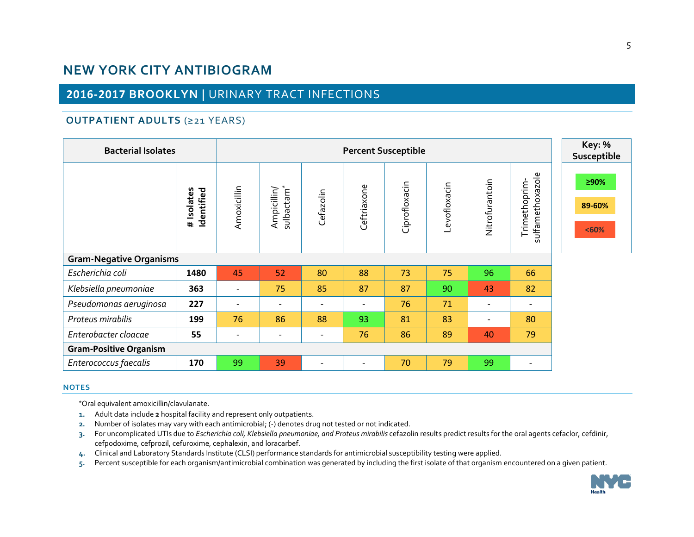# **2016-2017 BROOKLYN |** URINARY TRACT INFECTIONS

## **OUTPATIENT ADULTS** (≥21 YEARS)

| <b>Bacterial Isolates</b>      |                          | <b>Key: %</b><br>Susceptible |                                       |                          |                          |               |              |                          |                                  |                         |
|--------------------------------|--------------------------|------------------------------|---------------------------------------|--------------------------|--------------------------|---------------|--------------|--------------------------|----------------------------------|-------------------------|
|                                | # Isolates<br>Identified | Amoxicillin                  | sulbactam <sup>*</sup><br>Ampicillin/ | Cefazolin                | Ceftriaxone              | Ciprofloxacin | Levofloxacin | Nitrofurantoin           | sulfamethoxazole<br>Trimethoprim | ≥90%<br>89-60%<br>$60%$ |
| <b>Gram-Negative Organisms</b> |                          |                              |                                       |                          |                          |               |              |                          |                                  |                         |
| Escherichia coli               | 1480                     | 45                           | 52                                    | 80                       | 88                       | 73            | 75           | 96                       | 66                               |                         |
| Klebsiella pneumoniae          | 363                      | $\qquad \qquad \blacksquare$ | 75                                    | 85                       | 87                       | 87            | 90           | 43                       | 82                               |                         |
| Pseudomonas aeruginosa         | 227                      | $\qquad \qquad \blacksquare$ | $\overline{\phantom{a}}$              | $\overline{\phantom{a}}$ | $\overline{\phantom{a}}$ | 76            | 71           | $\overline{\phantom{a}}$ | $\overline{\phantom{a}}$         |                         |
| Proteus mirabilis              | 199                      | 76                           | 86                                    | 88                       | 93                       | 81            | 83           | $\overline{\phantom{a}}$ | 80                               |                         |
| Enterobacter cloacae           | 55                       | $\qquad \qquad \blacksquare$ | $\overline{\phantom{a}}$              | $\overline{\phantom{a}}$ | 76                       | 86            | 89           | 40                       | 79                               |                         |
| <b>Gram-Positive Organism</b>  |                          |                              |                                       |                          |                          |               |              |                          |                                  |                         |
| Enterococcus faecalis          | 170                      | 99                           | 39                                    | $\overline{\phantom{a}}$ | $\overline{\phantom{a}}$ | 70            | 79           | 99                       | $\overline{\phantom{a}}$         |                         |

#### **NOTES**

- **1.** Adult data include **2** hospital facility and represent only outpatients.
- **2.** Number of isolates may vary with each antimicrobial; (-) denotes drug not tested or not indicated.
- **3.** For uncomplicated UTIs due to *Escherichia coli, Klebsiella pneumoniae, and Proteus mirabilis* cefazolin results predict results for the oral agents cefaclor, cefdinir, cefpodoxime, cefprozil, cefuroxime, cephalexin, and loracarbef.
- **4.** Clinical and Laboratory Standards Institute (CLSI) performance standards for antimicrobial susceptibility testing were applied.
- **5.** Percent susceptible for each organism/antimicrobial combination was generated by including the first isolate of that organism encountered on a given patient.

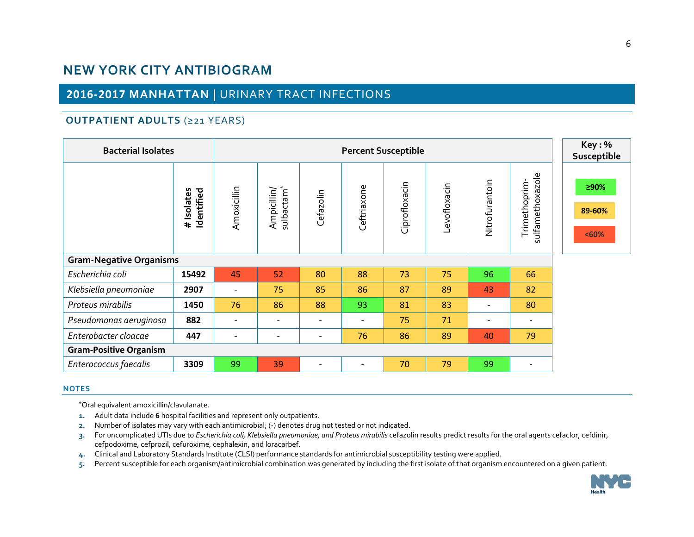# **2016-2017 MANHATTAN |** URINARY TRACT INFECTIONS

## **OUTPATIENT ADULTS** (≥21 YEARS)

| <b>Bacterial Isolates</b>      |                          | Key:%<br>Susceptible     |                                       |                          |                          |               |              |                |                                  |                         |
|--------------------------------|--------------------------|--------------------------|---------------------------------------|--------------------------|--------------------------|---------------|--------------|----------------|----------------------------------|-------------------------|
|                                | # Isolates<br>Identified | Amoxicillin              | sulbactam <sup>*</sup><br>Ampicillin/ | Cefazolin                | Ceftriaxone              | Ciprofloxacin | Levofloxacin | Nitrofurantoin | sulfamethoxazole<br>Trimethoprim | ≥90%<br>89-60%<br>$60%$ |
| <b>Gram-Negative Organisms</b> |                          |                          |                                       |                          |                          |               |              |                |                                  |                         |
| Escherichia coli               | 15492                    | 45                       | 52                                    | 80                       | 88                       | 73            | 75           | 96             | 66                               |                         |
| Klebsiella pneumoniae          | 2907                     | $\overline{\phantom{a}}$ | 75                                    | 85                       | 86                       | 87            | 89           | 43             | 82                               |                         |
| Proteus mirabilis              | 1450                     | 76                       | 86                                    | 88                       | 93                       | 81            | 83           |                | 80                               |                         |
| Pseudomonas aeruginosa         | 882                      | $\overline{\phantom{a}}$ | $\overline{\phantom{a}}$              |                          | $\overline{\phantom{a}}$ | 75            | 71           |                |                                  |                         |
| Enterobacter cloacae           | 447                      | $\overline{\phantom{a}}$ | $\qquad \qquad -$                     |                          | 76                       | 86            | 89           | 40             | 79                               |                         |
| <b>Gram-Positive Organism</b>  |                          |                          |                                       |                          |                          |               |              |                |                                  |                         |
| Enterococcus faecalis          | 3309                     | 99                       | 39                                    | $\overline{\phantom{0}}$ | $\overline{\phantom{a}}$ | 70            | 79           | 99             | $\overline{\phantom{a}}$         |                         |

#### **NOTES**

- **1.** Adult data include **6** hospital facilities and represent only outpatients.
- **2.** Number of isolates may vary with each antimicrobial; (-) denotes drug not tested or not indicated.
- **3.** For uncomplicated UTIs due to *Escherichia coli, Klebsiella pneumoniae, and Proteus mirabilis* cefazolin results predict results for the oral agents cefaclor, cefdinir, cefpodoxime, cefprozil, cefuroxime, cephalexin, and loracarbef.
- **4.** Clinical and Laboratory Standards Institute (CLSI) performance standards for antimicrobial susceptibility testing were applied.
- **5.** Percent susceptible for each organism/antimicrobial combination was generated by including the first isolate of that organism encountered on a given patient.

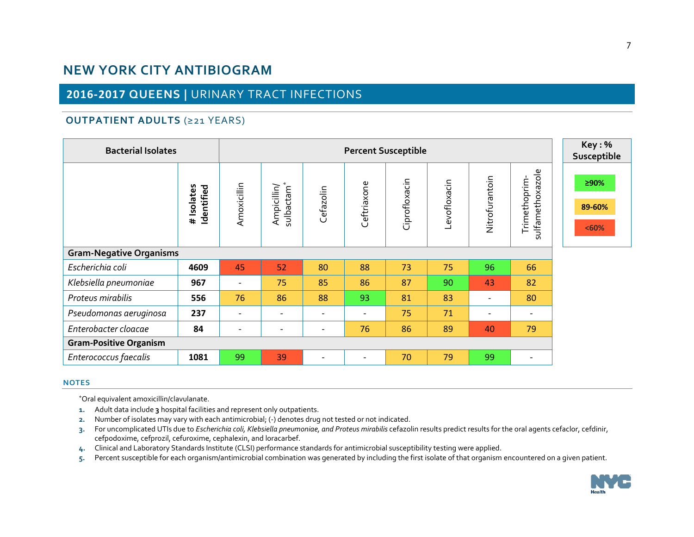# **2016-2017 QUEENS |** URINARY TRACT INFECTIONS

## **OUTPATIENT ADULTS** (≥21 YEARS)

| <b>Bacterial Isolates</b>      |                                      | Key:%<br>Susceptible     |                                    |                          |             |               |              |                          |                                  |                         |
|--------------------------------|--------------------------------------|--------------------------|------------------------------------|--------------------------|-------------|---------------|--------------|--------------------------|----------------------------------|-------------------------|
|                                | Isolates<br>Identified<br>$\ddagger$ | Amoxicillin              | $\ast$<br>Ampicillin/<br>sulbactam | Cefazolin                | Ceftriaxone | Ciprofloxacin | Levofloxacin | Nitrofurantoin           | sulfamethoxazole<br>Trimethoprim | ≥90%<br>89-60%<br>$60%$ |
| <b>Gram-Negative Organisms</b> |                                      |                          |                                    |                          |             |               |              |                          |                                  |                         |
| Escherichia coli               | 4609                                 | 45                       | 52                                 | 80                       | 88          | 73            | 75           | 96                       | 66                               |                         |
| Klebsiella pneumoniae          | 967                                  | $\overline{\phantom{a}}$ | 75                                 | 85                       | 86          | 87            | 90           | 43                       | 82                               |                         |
| Proteus mirabilis              | 556                                  | 76                       | 86                                 | 88                       | 93          | 81            | 83           | $\overline{\phantom{a}}$ | 80                               |                         |
| Pseudomonas aeruginosa         | 237                                  | $\overline{\phantom{a}}$ |                                    | $\overline{\phantom{a}}$ |             | 75            | 71           | $\overline{\phantom{a}}$ |                                  |                         |
| Enterobacter cloacae           | 84                                   | $\overline{\phantom{a}}$ | $\overline{\phantom{a}}$           | $\overline{\phantom{a}}$ | 76          | 86            | 89           | 40                       | 79                               |                         |
| <b>Gram-Positive Organism</b>  |                                      |                          |                                    |                          |             |               |              |                          |                                  |                         |
| Enterococcus faecalis          | 1081                                 | 99                       | 39                                 | $\overline{\phantom{a}}$ |             | 70            | 79           | 99                       | $\overline{\phantom{0}}$         |                         |

#### **NOTES**

- **1.** Adult data include **3** hospital facilities and represent only outpatients.
- **2.** Number of isolates may vary with each antimicrobial; (-) denotes drug not tested or not indicated.
- **3.** For uncomplicated UTIs due to *Escherichia coli, Klebsiella pneumoniae, and Proteus mirabilis* cefazolin results predict results for the oral agents cefaclor, cefdinir, cefpodoxime, cefprozil, cefuroxime, cephalexin, and loracarbef.
- **4.** Clinical and Laboratory Standards Institute (CLSI) performance standards for antimicrobial susceptibility testing were applied.
- **5.** Percent susceptible for each organism/antimicrobial combination was generated by including the first isolate of that organism encountered on a given patient.

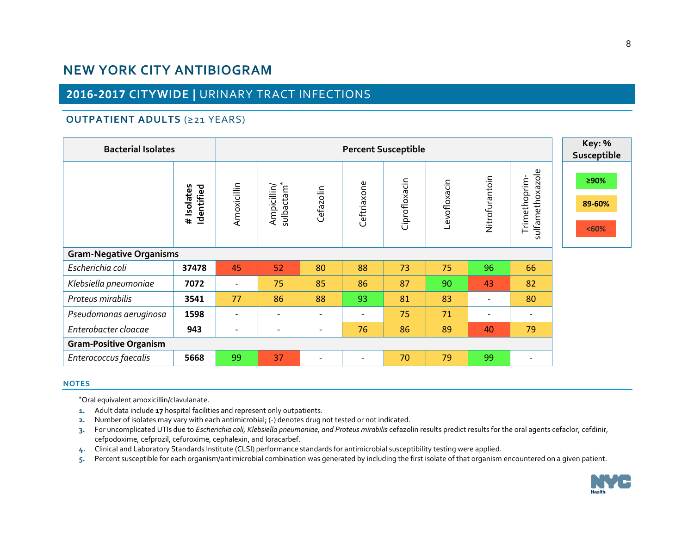# **2016-2017 CITYWIDE |** URINARY TRACT INFECTIONS

### **OUTPATIENT ADULTS** (≥21 YEARS)

| <b>Bacterial Isolates</b>      |                          | Key: %<br>Susceptible    |                                       |                          |                              |               |              |                          |                                  |                         |
|--------------------------------|--------------------------|--------------------------|---------------------------------------|--------------------------|------------------------------|---------------|--------------|--------------------------|----------------------------------|-------------------------|
|                                | # Isolates<br>Identified | Amoxicillin              | sulbactam <sup>*</sup><br>Ampicillin/ | Cefazolin                | Ceftriaxone                  | Ciprofloxacin | Levofloxacin | Nitrofurantoin           | sulfamethoxazole<br>Trimethoprim | ≥90%<br>89-60%<br>< 60% |
| <b>Gram-Negative Organisms</b> |                          |                          |                                       |                          |                              |               |              |                          |                                  |                         |
| Escherichia coli               | 37478                    | 45                       | 52                                    | 80                       | 88                           | 73            | 75           | 96                       | 66                               |                         |
| Klebsiella pneumoniae          | 7072                     | $\overline{\phantom{a}}$ | 75                                    | 85                       | 86                           | 87            | 90           | 43                       | 82                               |                         |
| Proteus mirabilis              | 3541                     | 77                       | 86                                    | 88                       | 93                           | 81            | 83           | $\overline{\phantom{a}}$ | 80                               |                         |
| Pseudomonas aeruginosa         | 1598                     | $\overline{\phantom{a}}$ | $\overline{\phantom{a}}$              |                          | $\qquad \qquad \blacksquare$ | 75            | 71           | $\overline{\phantom{a}}$ |                                  |                         |
| Enterobacter cloacae           | 943                      | $\overline{\phantom{a}}$ | $\overline{\phantom{a}}$              | $\overline{\phantom{a}}$ | 76                           | 86            | 89           | 40                       | 79                               |                         |
| <b>Gram-Positive Organism</b>  |                          |                          |                                       |                          |                              |               |              |                          |                                  |                         |
| Enterococcus faecalis          | 5668                     | 99                       | 37                                    | $\overline{\phantom{a}}$ | $\overline{\phantom{a}}$     | 70            | 79           | 99                       | $\overline{\phantom{a}}$         |                         |

#### **NOTES**

- **1.** Adult data include **17** hospital facilities and represent only outpatients.
- **2.** Number of isolates may vary with each antimicrobial; (-) denotes drug not tested or not indicated.
- **3.** For uncomplicated UTIs due to *Escherichia coli, Klebsiella pneumoniae, and Proteus mirabilis* cefazolin results predict results for the oral agents cefaclor, cefdinir, cefpodoxime, cefprozil, cefuroxime, cephalexin, and loracarbef.
- **4.** Clinical and Laboratory Standards Institute (CLSI) performance standards for antimicrobial susceptibility testing were applied.
- **5.** Percent susceptible for each organism/antimicrobial combination was generated by including the first isolate of that organism encountered on a given patient.